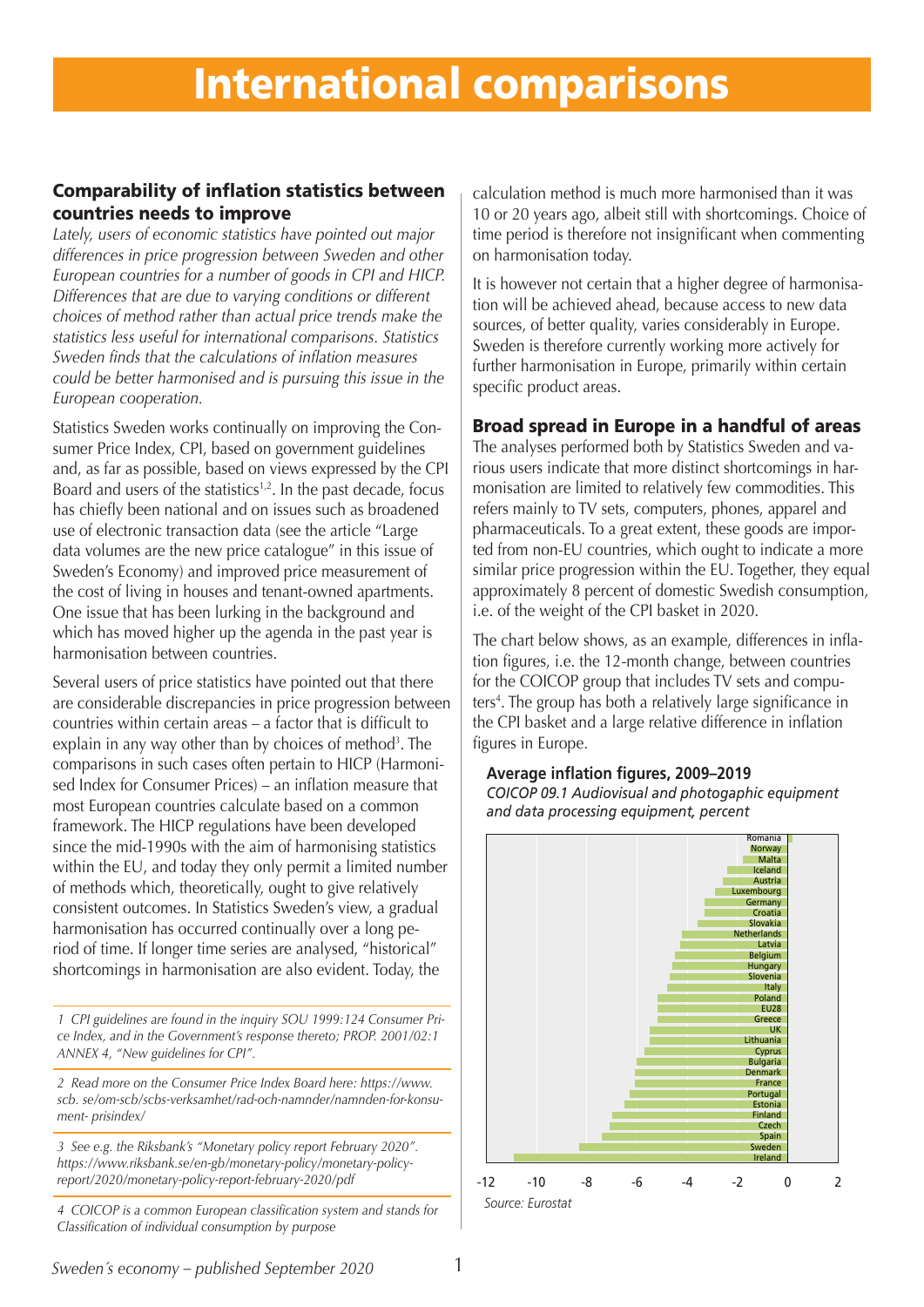### Comparability of inflation statistics between countries needs to improve

*Lately, users of economic statistics have pointed out major differences in price progression between Sweden and other European countries for a number of goods in CPI and HICP. Differences that are due to varying conditions or different choices of method rather than actual price trends make the statistics less useful for international comparisons. Statistics Sweden finds that the calculations of inflation measures could be better harmonised and is pursuing this issue in the European cooperation.*

Statistics Sweden works continually on improving the Consumer Price Index, CPI, based on government guidelines and, as far as possible, based on views expressed by the CPI Board and users of the statistics<sup> $1,2$ </sup>. In the past decade, focus has chiefly been national and on issues such as broadened use of electronic transaction data (see the article "Large data volumes are the new price catalogue" in this issue of Sweden's Economy) and improved price measurement of the cost of living in houses and tenant-owned apartments. One issue that has been lurking in the background and which has moved higher up the agenda in the past year is harmonisation between countries.

Several users of price statistics have pointed out that there are considerable discrepancies in price progression between countries within certain areas – a factor that is difficult to explain in any way other than by choices of method<sup>3</sup>. The comparisons in such cases often pertain to HICP (Harmonised Index for Consumer Prices) – an inflation measure that most European countries calculate based on a common framework. The HICP regulations have been developed since the mid-1990s with the aim of harmonising statistics within the EU, and today they only permit a limited number of methods which, theoretically, ought to give relatively consistent outcomes. In Statistics Sweden's view, a gradual harmonisation has occurred continually over a long period of time. If longer time series are analysed, "historical" shortcomings in harmonisation are also evident. Today, the

*1 CPI guidelines are found in the inquiry SOU 1999:124 Consumer Price Index, and in the Government's response thereto; PROP. 2001/02:1 ANNEX 4, "New guidelines for CPI".*

*2 Read more on the Consumer Price Index Board here: https://www. scb. se/om-scb/scbs-verksamhet/rad-och-namnder/namnden-for-konsument- prisindex/*

*3 See e.g. the Riksbank's "Monetary policy report February 2020". https://www.riksbank.se/en-gb/monetary-policy/monetary-policyreport/2020/monetary-policy-report-february-2020/pdf*

*4 COICOP is a common European classification system and stands for Classification of individual consumption by purpose*

calculation method is much more harmonised than it was 10 or 20 years ago, albeit still with shortcomings. Choice of time period is therefore not insignificant when commenting on harmonisation today.

It is however not certain that a higher degree of harmonisation will be achieved ahead, because access to new data sources, of better quality, varies considerably in Europe. Sweden is therefore currently working more actively for further harmonisation in Europe, primarily within certain specific product areas.

### Broad spread in Europe in a handful of areas

The analyses performed both by Statistics Sweden and various users indicate that more distinct shortcomings in harmonisation are limited to relatively few commodities. This refers mainly to TV sets, computers, phones, apparel and pharmaceuticals. To a great extent, these goods are imported from non-EU countries, which ought to indicate a more similar price progression within the EU. Together, they equal approximately 8 percent of domestic Swedish consumption, i.e. of the weight of the CPI basket in 2020.

The chart below shows, as an example, differences in inflation figures, i.e. the 12-month change, between countries for the COICOP group that includes TV sets and computers<sup>4</sup>. The group has both a relatively large significance in the CPI basket and a large relative difference in inflation figures in Europe.

#### **Average inflation figures, 2009–2019** *COICOP 09.1 Audiovisual and photogaphic equipment and data processing equipment, percent*



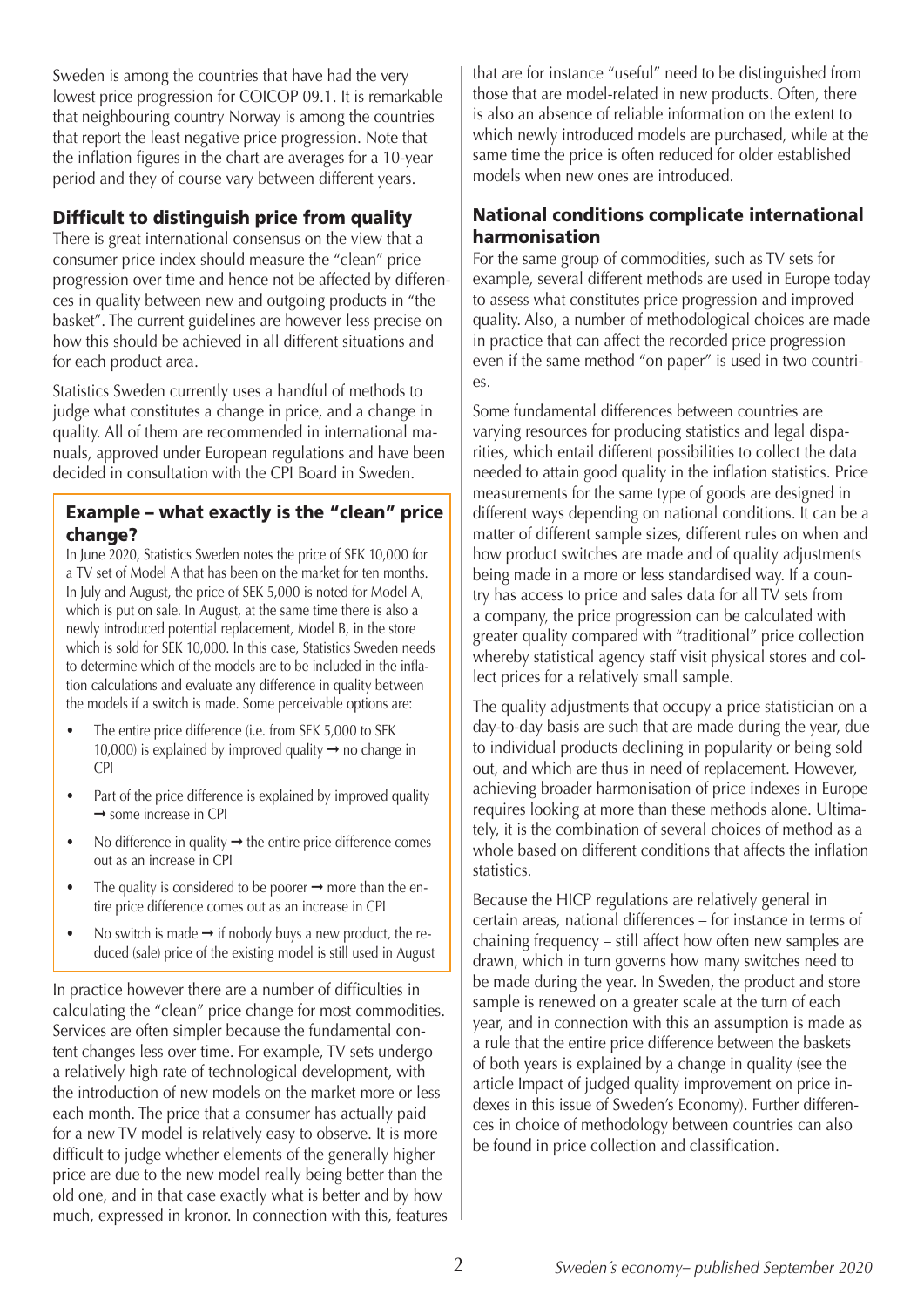Sweden is among the countries that have had the very lowest price progression for COICOP 09.1. It is remarkable that neighbouring country Norway is among the countries that report the least negative price progression. Note that the inflation figures in the chart are averages for a 10-year period and they of course vary between different years.

### Difficult to distinguish price from quality

There is great international consensus on the view that a consumer price index should measure the "clean" price progression over time and hence not be affected by differences in quality between new and outgoing products in "the basket". The current guidelines are however less precise on how this should be achieved in all different situations and for each product area.

Statistics Sweden currently uses a handful of methods to judge what constitutes a change in price, and a change in quality. All of them are recommended in international manuals, approved under European regulations and have been decided in consultation with the CPI Board in Sweden.

#### Example – what exactly is the "clean" price change?

In June 2020, Statistics Sweden notes the price of SEK 10,000 for a TV set of Model A that has been on the market for ten months. In July and August, the price of SEK 5,000 is noted for Model A, which is put on sale. In August, at the same time there is also a newly introduced potential replacement, Model B, in the store which is sold for SEK 10,000. In this case, Statistics Sweden needs to determine which of the models are to be included in the inflation calculations and evaluate any difference in quality between the models if a switch is made. Some perceivable options are:

- The entire price difference (i.e. from SEK 5,000 to SEK 10,000) is explained by improved quality  $\rightarrow$  no change in CPI
- Part of the price difference is explained by improved quality ➞ some increase in CPI
- No difference in quality  $\rightarrow$  the entire price difference comes out as an increase in CPI
- The quality is considered to be poorer  $\rightarrow$  more than the entire price difference comes out as an increase in CPI
- No switch is made  $\rightarrow$  if nobody buys a new product, the reduced (sale) price of the existing model is still used in August

In practice however there are a number of difficulties in calculating the "clean" price change for most commodities. Services are often simpler because the fundamental content changes less over time. For example, TV sets undergo a relatively high rate of technological development, with the introduction of new models on the market more or less each month. The price that a consumer has actually paid for a new TV model is relatively easy to observe. It is more difficult to judge whether elements of the generally higher price are due to the new model really being better than the old one, and in that case exactly what is better and by how much, expressed in kronor. In connection with this, features that are for instance "useful" need to be distinguished from those that are model-related in new products. Often, there is also an absence of reliable information on the extent to which newly introduced models are purchased, while at the same time the price is often reduced for older established models when new ones are introduced.

### National conditions complicate international harmonisation

For the same group of commodities, such as TV sets for example, several different methods are used in Europe today to assess what constitutes price progression and improved quality. Also, a number of methodological choices are made in practice that can affect the recorded price progression even if the same method "on paper" is used in two countries.

Some fundamental differences between countries are varying resources for producing statistics and legal disparities, which entail different possibilities to collect the data needed to attain good quality in the inflation statistics. Price measurements for the same type of goods are designed in different ways depending on national conditions. It can be a matter of different sample sizes, different rules on when and how product switches are made and of quality adjustments being made in a more or less standardised way. If a country has access to price and sales data for all TV sets from a company, the price progression can be calculated with greater quality compared with "traditional" price collection whereby statistical agency staff visit physical stores and collect prices for a relatively small sample.

The quality adjustments that occupy a price statistician on a day-to-day basis are such that are made during the year, due to individual products declining in popularity or being sold out, and which are thus in need of replacement. However, achieving broader harmonisation of price indexes in Europe requires looking at more than these methods alone. Ultimately, it is the combination of several choices of method as a whole based on different conditions that affects the inflation statistics.

Because the HICP regulations are relatively general in certain areas, national differences – for instance in terms of chaining frequency – still affect how often new samples are drawn, which in turn governs how many switches need to be made during the year. In Sweden, the product and store sample is renewed on a greater scale at the turn of each year, and in connection with this an assumption is made as a rule that the entire price difference between the baskets of both years is explained by a change in quality (see the article Impact of judged quality improvement on price indexes in this issue of Sweden's Economy). Further differences in choice of methodology between countries can also be found in price collection and classification.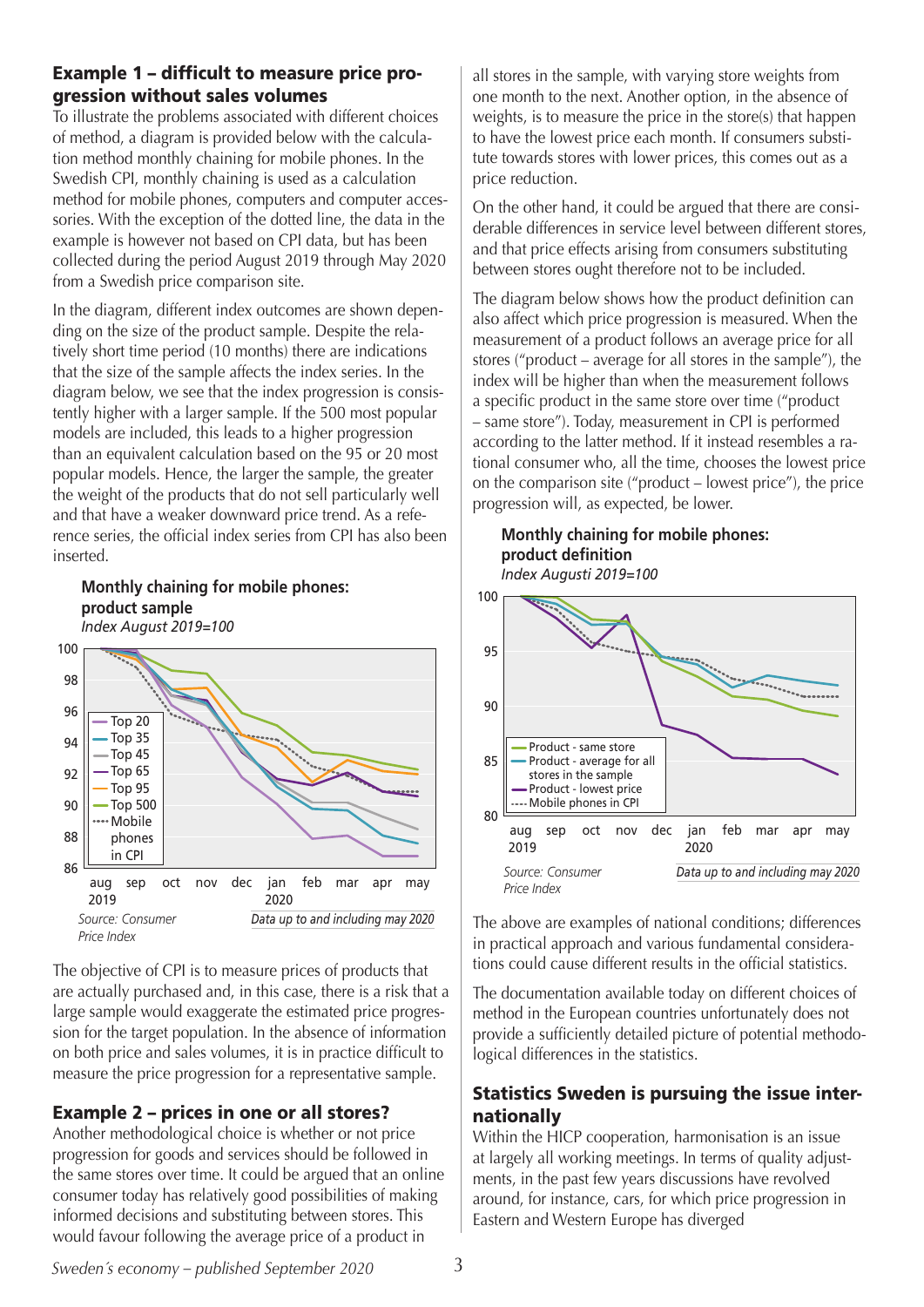### Example 1 – difficult to measure price progression without sales volumes

To illustrate the problems associated with different choices of method, a diagram is provided below with the calculation method monthly chaining for mobile phones. In the Swedish CPI, monthly chaining is used as a calculation method for mobile phones, computers and computer accessories. With the exception of the dotted line, the data in the example is however not based on CPI data, but has been collected during the period August 2019 through May 2020 from a Swedish price comparison site.

In the diagram, different index outcomes are shown depending on the size of the product sample. Despite the relatively short time period (10 months) there are indications that the size of the sample affects the index series. In the diagram below, we see that the index progression is consistently higher with a larger sample. If the 500 most popular models are included, this leads to a higher progression than an equivalent calculation based on the 95 or 20 most popular models. Hence, the larger the sample, the greater the weight of the products that do not sell particularly well and that have a weaker downward price trend. As a reference series, the official index series from CPI has also been inserted.

## **Monthly chaining for mobile phones: product sample**



The objective of CPI is to measure prices of products that are actually purchased and, in this case, there is a risk that a large sample would exaggerate the estimated price progression for the target population. In the absence of information on both price and sales volumes, it is in practice difficult to measure the price progression for a representative sample.

# Example 2 – prices in one or all stores?

Another methodological choice is whether or not price progression for goods and services should be followed in the same stores over time. It could be argued that an online consumer today has relatively good possibilities of making informed decisions and substituting between stores. This would favour following the average price of a product in

all stores in the sample, with varying store weights from one month to the next. Another option, in the absence of weights, is to measure the price in the store(s) that happen to have the lowest price each month. If consumers substitute towards stores with lower prices, this comes out as a price reduction.

On the other hand, it could be argued that there are considerable differences in service level between different stores, and that price effects arising from consumers substituting between stores ought therefore not to be included.

The diagram below shows how the product definition can also affect which price progression is measured. When the measurement of a product follows an average price for all stores ("product – average for all stores in the sample"), the index will be higher than when the measurement follows a specific product in the same store over time ("product – same store"). Today, measurement in CPI is performed according to the latter method. If it instead resembles a rational consumer who, all the time, chooses the lowest price on the comparison site ("product – lowest price"), the price progression will, as expected, be lower.

# **Monthly chaining for mobile phones: product definition**

*Index Augusti 2019=100*



The above are examples of national conditions; differences in practical approach and various fundamental considerations could cause different results in the official statistics.

The documentation available today on different choices of method in the European countries unfortunately does not provide a sufficiently detailed picture of potential methodological differences in the statistics.

### Statistics Sweden is pursuing the issue internationally

Within the HICP cooperation, harmonisation is an issue at largely all working meetings. In terms of quality adjustments, in the past few years discussions have revolved around, for instance, cars, for which price progression in Eastern and Western Europe has diverged

**Sweden's economy – published September 2020**